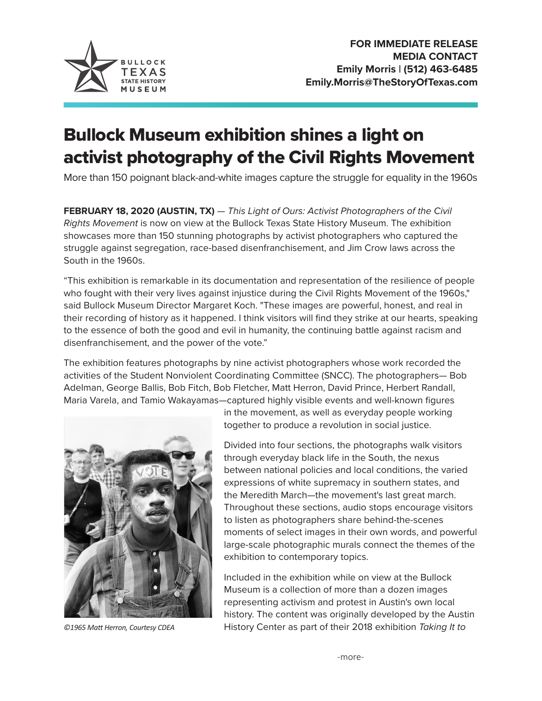

## Bullock Museum exhibition shines a light on activist photography of the Civil Rights Movement

More than 150 poignant black-and-white images capture the struggle for equality in the 1960s

**FEBRUARY 18, 2020 (AUSTIN, TX)** — *This Light of Ours: Activist Photographers of the Civil Rights Movement* is now on view at the Bullock Texas State History Museum. The exhibition showcases more than 150 stunning photographs by activist photographers who captured the struggle against segregation, race-based disenfranchisement, and Jim Crow laws across the South in the 1960s.

"This exhibition is remarkable in its documentation and representation of the resilience of people who fought with their very lives against injustice during the Civil Rights Movement of the 1960s," said Bullock Museum Director Margaret Koch. "These images are powerful, honest, and real in their recording of history as it happened. I think visitors will find they strike at our hearts, speaking to the essence of both the good and evil in humanity, the continuing battle against racism and disenfranchisement, and the power of the vote."

The exhibition features photographs by nine activist photographers whose work recorded the activities of the Student Nonviolent Coordinating Committee (SNCC). The photographers— Bob Adelman, George Ballis, Bob Fitch, Bob Fletcher, Matt Herron, David Prince, Herbert Randall, Maria Varela, and Tamio Wakayamas—captured highly visible events and well-known figures



in the movement, as well as everyday people working together to produce a revolution in social justice.

Divided into four sections, the photographs walk visitors through everyday black life in the South, the nexus between national policies and local conditions, the varied expressions of white supremacy in southern states, and the Meredith March—the movement's last great march. Throughout these sections, audio stops encourage visitors to listen as photographers share behind-the-scenes moments of select images in their own words, and powerful large-scale photographic murals connect the themes of the exhibition to contemporary topics.

Included in the exhibition while on view at the Bullock Museum is a collection of more than a dozen images representing activism and protest in Austin's own local history. The content was originally developed by the Austin *©1965 Matt Herron, Courtesy CDEA* History Center as part of their 2018 exhibition *Taking It to*